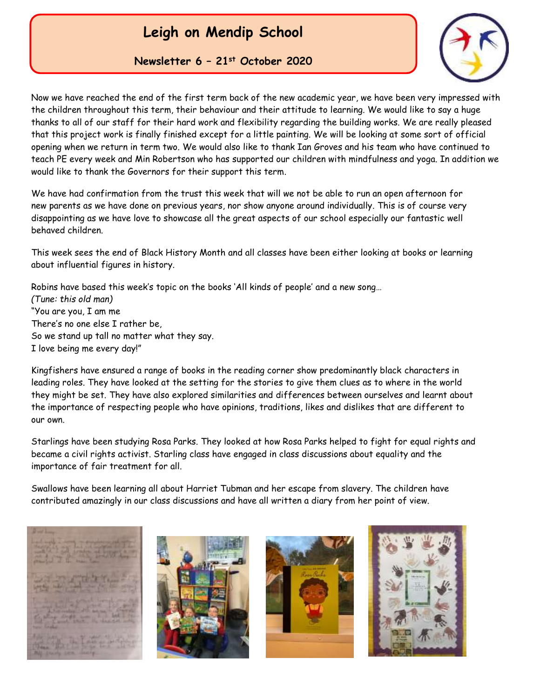

**Newsletter 6 – 21st October 2020**

Now we have reached the end of the first term back of the new academic year, we have been very impressed with the children throughout this term, their behaviour and their attitude to learning. We would like to say a huge thanks to all of our staff for their hard work and flexibility regarding the building works. We are really pleased that this project work is finally finished except for a little painting. We will be looking at some sort of official opening when we return in term two. We would also like to thank Ian Groves and his team who have continued to teach PE every week and Min Robertson who has supported our children with mindfulness and yoga. In addition we would like to thank the Governors for their support this term.

We have had confirmation from the trust this week that will we not be able to run an open afternoon for new parents as we have done on previous years, nor show anyone around individually. This is of course very disappointing as we have love to showcase all the great aspects of our school especially our fantastic well behaved children.

This week sees the end of Black History Month and all classes have been either looking at books or learning about influential figures in history.

Robins have based this week's topic on the books 'All kinds of people' and a new song… *(Tune: this old man)* "You are you, I am me There's no one else I rather be, So we stand up tall no matter what they say. I love being me every day!"

Kingfishers have ensured a range of books in the reading corner show predominantly black characters in leading roles. They have looked at the setting for the stories to give them clues as to where in the world they might be set. They have also explored similarities and differences between ourselves and learnt about the importance of respecting people who have opinions, traditions, likes and dislikes that are different to our own.

Starlings have been studying Rosa Parks. They looked at how Rosa Parks helped to fight for equal rights and became a civil rights activist. Starling class have engaged in class discussions about equality and the importance of fair treatment for all.

Swallows have been learning all about Harriet Tubman and her escape from slavery. The children have contributed amazingly in our class discussions and have all written a diary from her point of view.







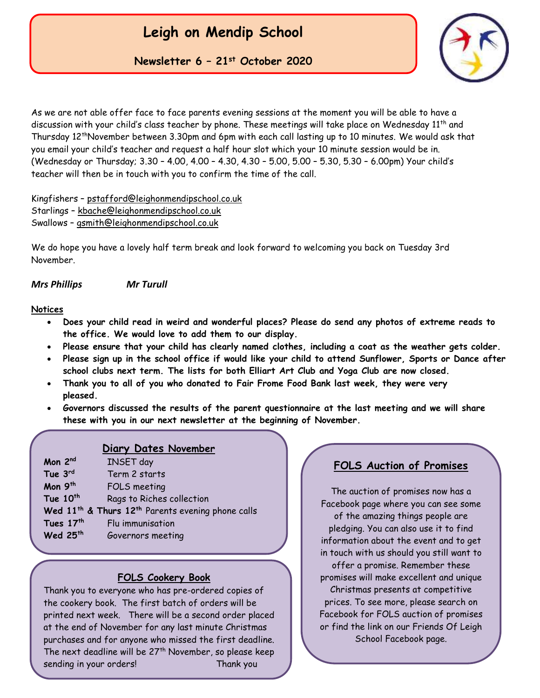

**Newsletter 6 – 21st October 2020**

As we are not able offer face to face parents evening sessions at the moment you will be able to have a discussion with your child's class teacher by phone. These meetings will take place on Wednesday 11th and Thursday 12thNovember between 3.30pm and 6pm with each call lasting up to 10 minutes. We would ask that you email your child's teacher and request a half hour slot which your 10 minute session would be in. (Wednesday or Thursday; 3.30 – 4.00, 4.00 – 4.30, 4.30 – 5.00, 5.00 – 5.30, 5.30 – 6.00pm) Your child's teacher will then be in touch with you to confirm the time of the call.

Kingfishers – [pstafford@leighonmendipschool.co.uk](mailto:pstafford@leighonmendipschool.co.uk) Starlings – [kbache@leighonmendipschool.co.uk](mailto:kbache@leighonmendipschool.co.uk) Swallows – [gsmith@leighonmendipschool.co.uk](mailto:gsmith@leighonmendipschool.co.uk)

We do hope you have a lovely half term break and look forward to welcoming you back on Tuesday 3rd November.

*Mrs Phillips Mr Turull*

#### **Notices**

- **Does your child read in weird and wonderful places? Please do send any photos of extreme reads to the office. We would love to add them to our display.**
- **Please ensure that your child has clearly named clothes, including a coat as the weather gets colder.**
- **Please sign up in the school office if would like your child to attend Sunflower, Sports or Dance after school clubs next term. The lists for both Elliart Art Club and Yoga Club are now closed.**
- **Thank you to all of you who donated to Fair Frome Food Bank last week, they were very pleased.**
- **Governors discussed the results of the parent questionnaire at the last meeting and we will share these with you in our next newsletter at the beginning of November.**

#### **Diary Dates November**

| Mon 2nd                                                                   | <b>INSET</b> day          |
|---------------------------------------------------------------------------|---------------------------|
| Tue 3rd                                                                   | Term 2 starts             |
| Mon 9th                                                                   | FOLS meeting              |
| Tue 10th                                                                  | Rags to Riches collection |
| Wed 11 <sup>th</sup> & Thurs 12 <sup>th</sup> Parents evening phone calls |                           |
| Tues 17th                                                                 | Flu immunisation          |
| Wed 25th                                                                  | Governors meeting         |

#### **FOLS Cookery Book**

 sending in your orders! Thank youThank you to everyone who has pre-ordered copies of the cookery book. The first batch of orders will be printed next week. There will be a second order placed at the end of November for any last minute Christmas purchases and for anyone who missed the first deadline. The next deadline will be  $27<sup>th</sup>$  November, so please keep

#### **FOLS Auction of Promises**

The auction of promises now has a Facebook page where you can see some of the amazing things people are pledging. You can also use it to find information about the event and to get in touch with us should you still want to offer a promise. Remember these promises will make excellent and unique Christmas presents at competitive prices. To see more, please search on Facebook for FOLS auction of promises or find the link on our Friends Of Leigh School Facebook page.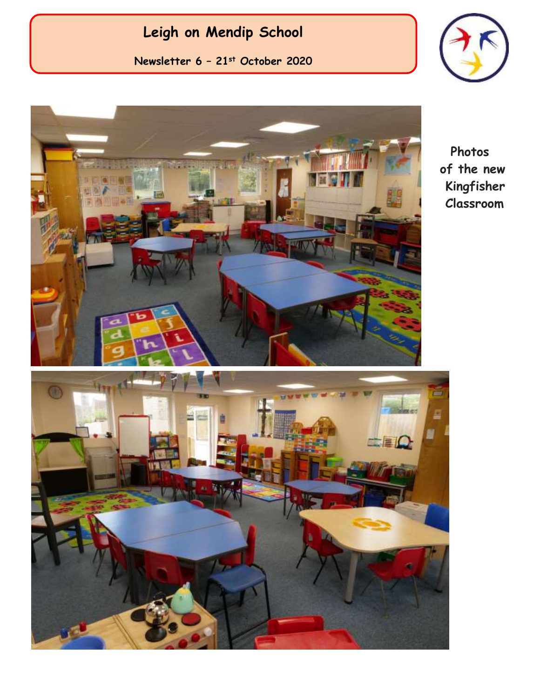**Newsletter 6 – 21st October 2020**





 **Photos of the new Kingfisher Classroom**